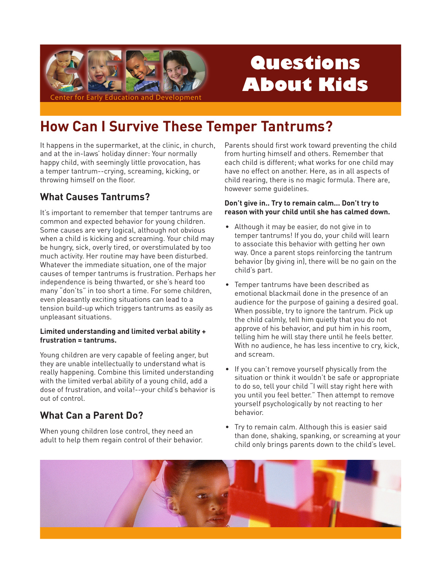

# Questions **About Kids**

## **How Can I Survive These Temper Tantrums?**

It happens in the supermarket, at the clinic, in church, and at the in-laws' holiday dinner: Your normally happy child, with seemingly little provocation, has a temper tantrum--crying, screaming, kicking, or throwing himself on the floor.

## **What Causes Tantrums?**

It's important to remember that temper tantrums are common and expected behavior for young children. Some causes are very logical, although not obvious when a child is kicking and screaming. Your child may be hungry, sick, overly tired, or overstimulated by too much activity. Her routine may have been disturbed. Whatever the immediate situation, one of the major causes of temper tantrums is frustration. Perhaps her independence is being thwarted, or she's heard too many "don'ts" in too short a time. For some children, even pleasantly exciting situations can lead to a tension build-up which triggers tantrums as easily as unpleasant situations.

#### Limited understanding and limited verbal ability + frustration = tantrums.

Young children are very capable of feeling anger, but they are unable intellectually to understand what is really happening. Combine this limited understanding with the limited verbal ability of a young child, add a dose of frustration, and voila!--your child's behavior is out of control

## **What Can a Parent Do?**

When young children lose control, they need an adult to help them regain control of their behavior. Parents should first work toward preventing the child from hurting himself and others. Remember that each child is different; what works for one child may have no effect on another. Here, as in all aspects of child rearing, there is no magic formula. There are, however some quidelines.

#### Don't give in.. Try to remain calm... Don't try to reason with your child until she has calmed down.

- Although it may be easier, do not give in to temper tantrums! If you do, your child will learn to associate this behavior with getting her own way. Once a parent stops reinforcing the tantrum behavior (by giving in), there will be no gain on the child's part.
- Temper tantrums have been described as emotional blackmail done in the presence of an audience for the purpose of gaining a desired goal. When possible, try to ignore the tantrum. Pick up the child calmly, tell him quietly that you do not approve of his behavior, and put him in his room, telling him he will stay there until he feels better. With no audience, he has less incentive to cry, kick, and scream.
- If you can't remove yourself physically from the situation or think it wouldn't be safe or appropriate to do so, tell your child "I will stay right here with you until you feel better." Then attempt to remove yourself psychologically by not reacting to her behavior.
- Try to remain calm. Although this is easier said than done, shaking, spanking, or screaming at your child only brings parents down to the child's level.